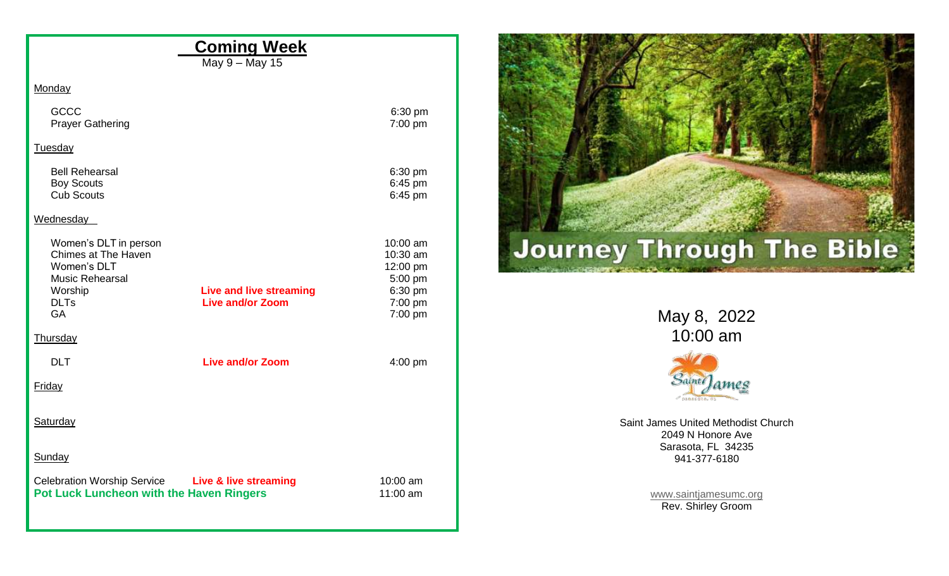| <b>Coming Week</b><br>May 9 - May 15                                                                                                                                         |                                                                   |                                                          |
|------------------------------------------------------------------------------------------------------------------------------------------------------------------------------|-------------------------------------------------------------------|----------------------------------------------------------|
| <b>Monday</b>                                                                                                                                                                |                                                                   |                                                          |
| <b>GCCC</b><br><b>Prayer Gathering</b>                                                                                                                                       | 6:30 pm<br>7:00 pm                                                |                                                          |
| Tuesday                                                                                                                                                                      |                                                                   |                                                          |
| <b>Bell Rehearsal</b><br><b>Boy Scouts</b><br><b>Cub Scouts</b>                                                                                                              | 6:30 pm<br>6:45 pm<br>6:45 pm                                     |                                                          |
| Wednesday                                                                                                                                                                    |                                                                   |                                                          |
| Women's DLT in person<br>Chimes at The Haven<br>Women's DLT<br><b>Music Rehearsal</b><br>Worship<br><b>Live and live streaming</b><br><b>Live and/or Zoom</b><br><b>DLTs</b> | 10:00 am<br>10:30 am<br>12:00 pm<br>5:00 pm<br>6:30 pm<br>7:00 pm | <b>Journey Through The Bik</b>                           |
| GA                                                                                                                                                                           | 7:00 pm                                                           | May 8, 2022                                              |
| Thursday                                                                                                                                                                     |                                                                   | 10:00 am                                                 |
| <b>DLT</b><br><b>Live and/or Zoom</b><br>Friday                                                                                                                              | 4:00 pm                                                           | Saint James                                              |
|                                                                                                                                                                              |                                                                   | $-54046078, 50$                                          |
| Saturday                                                                                                                                                                     |                                                                   | Saint James United Methodist Church<br>2049 N Honore Ave |
| Sunday                                                                                                                                                                       |                                                                   | Sarasota, FL 34235<br>941-377-6180                       |
| <b>Celebration Worship Service</b><br><b>Live &amp; live streaming</b><br>Pot Luck Luncheon with the Haven Ringers                                                           | 10:00 am<br>$11:00$ am                                            | www.saintjamesumc.org<br>Rev. Shirley Groom              |

e